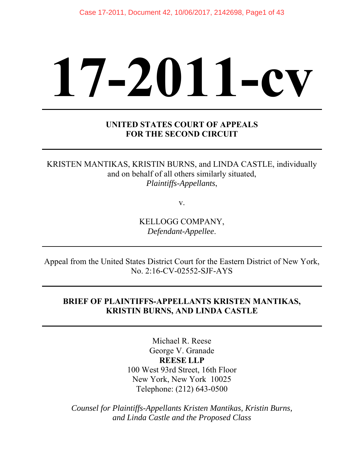# **17-2011-cv**

# **UNITED STATES COURT OF APPEALS FOR THE SECOND CIRCUIT**

KRISTEN MANTIKAS, KRISTIN BURNS, and LINDA CASTLE, individually and on behalf of all others similarly situated, *Plaintiffs-Appellants*,

v.

KELLOGG COMPANY, *Defendant-Appellee*.

Appeal from the United States District Court for the Eastern District of New York, No. 2:16-CV-02552-SJF-AYS

# **BRIEF OF PLAINTIFFS-APPELLANTS KRISTEN MANTIKAS, KRISTIN BURNS, AND LINDA CASTLE**

Michael R. Reese George V. Granade **REESE LLP** 100 West 93rd Street, 16th Floor New York, New York 10025 Telephone: (212) 643-0500

*Counsel for Plaintiffs-Appellants Kristen Mantikas, Kristin Burns, and Linda Castle and the Proposed Class*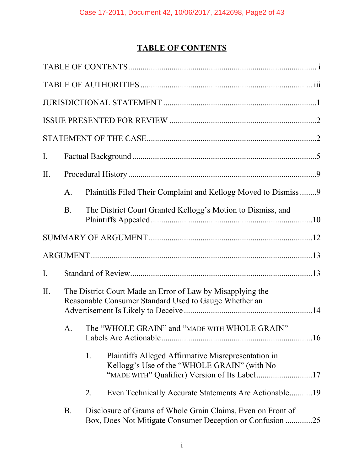# **TABLE OF CONTENTS**

|     |           |                                                  | $\begin{minipage}{.4\linewidth} \textbf{STATEMENT OF THE CASE} \end{minipage} \vspace{-0.00000cm. \label{eq:1}$          |  |  |  |
|-----|-----------|--------------------------------------------------|--------------------------------------------------------------------------------------------------------------------------|--|--|--|
| Ι.  |           |                                                  |                                                                                                                          |  |  |  |
| II. |           |                                                  |                                                                                                                          |  |  |  |
|     | A.        |                                                  | Plaintiffs Filed Their Complaint and Kellogg Moved to Dismiss9                                                           |  |  |  |
|     | <b>B.</b> |                                                  | The District Court Granted Kellogg's Motion to Dismiss, and                                                              |  |  |  |
|     |           |                                                  |                                                                                                                          |  |  |  |
|     |           |                                                  |                                                                                                                          |  |  |  |
| I.  |           |                                                  |                                                                                                                          |  |  |  |
| II. |           |                                                  | The District Court Made an Error of Law by Misapplying the<br>Reasonable Consumer Standard Used to Gauge Whether an      |  |  |  |
|     |           | A. The "WHOLE GRAIN" and "MADE WITH WHOLE GRAIN" |                                                                                                                          |  |  |  |
|     |           | 1.                                               | Plaintiffs Alleged Affirmative Misrepresentation in<br>Kellogg's Use of the "WHOLE GRAIN" (with No                       |  |  |  |
|     |           | 2.                                               | Even Technically Accurate Statements Are Actionable19                                                                    |  |  |  |
|     | <b>B.</b> |                                                  | Disclosure of Grams of Whole Grain Claims, Even on Front of<br>Box, Does Not Mitigate Consumer Deception or Confusion 25 |  |  |  |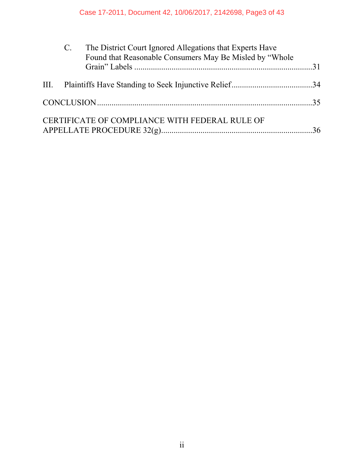| C. The District Court Ignored Allegations that Experts Have<br>Found that Reasonable Consumers May Be Misled by "Whole" |                                                |  |
|-------------------------------------------------------------------------------------------------------------------------|------------------------------------------------|--|
|                                                                                                                         |                                                |  |
|                                                                                                                         |                                                |  |
|                                                                                                                         |                                                |  |
|                                                                                                                         | CERTIFICATE OF COMPLIANCE WITH FEDERAL RULE OF |  |
|                                                                                                                         |                                                |  |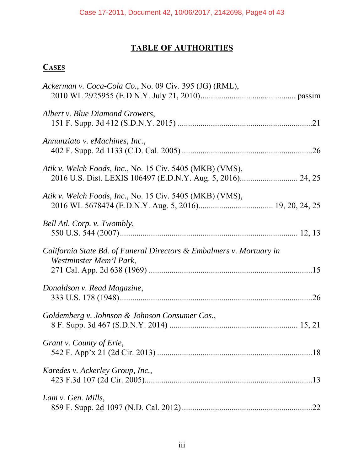# **TABLE OF AUTHORITIES**

# **CASES**

| Ackerman v. Coca-Cola Co., No. 09 Civ. 395 (JG) (RML),                                          |
|-------------------------------------------------------------------------------------------------|
| Albert v. Blue Diamond Growers,                                                                 |
| Annunziato v. eMachines, Inc.,                                                                  |
| Atik v. Welch Foods, Inc., No. 15 Civ. 5405 (MKB) (VMS),                                        |
| Atik v. Welch Foods, Inc., No. 15 Civ. 5405 (MKB) (VMS),                                        |
| Bell Atl. Corp. v. Twombly,                                                                     |
| California State Bd. of Funeral Directors & Embalmers v. Mortuary in<br>Westminster Mem'l Park, |
| Donaldson v. Read Magazine,                                                                     |
| Goldemberg v. Johnson & Johnson Consumer Cos.,                                                  |
| Grant v. County of Erie,                                                                        |
| Karedes v. Ackerley Group, Inc.,                                                                |
| Lam v. Gen. Mills,                                                                              |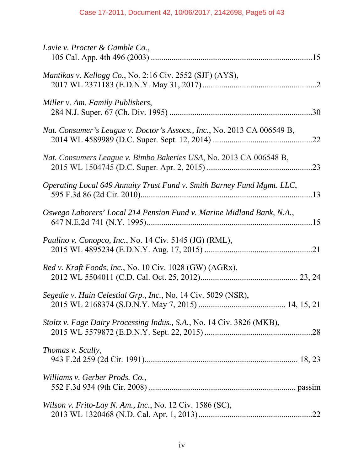| Lavie v. Procter & Gamble Co.,                                          |
|-------------------------------------------------------------------------|
| Mantikas v. Kellogg Co., No. 2:16 Civ. 2552 (SJF) (AYS),                |
| Miller v. Am. Family Publishers,                                        |
| Nat. Consumer's League v. Doctor's Assocs., Inc., No. 2013 CA 006549 B, |
| Nat. Consumers League v. Bimbo Bakeries USA, No. 2013 CA 006548 B,      |
| Operating Local 649 Annuity Trust Fund v. Smith Barney Fund Mgmt. LLC,  |
| Oswego Laborers' Local 214 Pension Fund v. Marine Midland Bank, N.A.,   |
| Paulino v. Conopco, Inc., No. 14 Civ. 5145 (JG) (RML),                  |
| Red v. Kraft Foods, Inc., No. 10 Civ. 1028 (GW) (AGRx),                 |
| Segedie v. Hain Celestial Grp., Inc., No. 14 Civ. 5029 (NSR),           |
| Stoltz v. Fage Dairy Processing Indus., S.A., No. 14 Civ. 3826 (MKB),   |
| Thomas v. Scully,                                                       |
| Williams v. Gerber Prods. Co.,                                          |
| Wilson v. Frito-Lay N. Am., Inc., No. 12 Civ. 1586 (SC),                |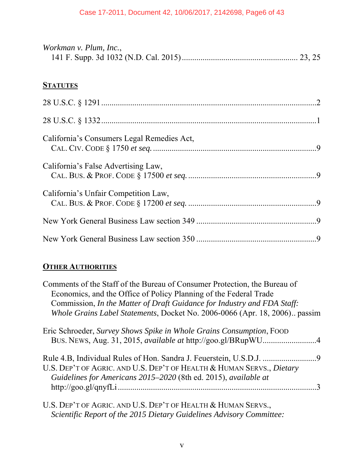| Workman v. Plum, Inc., |  |
|------------------------|--|
|                        |  |

# **STATUTES**

| California's Consumers Legal Remedies Act, |  |
|--------------------------------------------|--|
| California's False Advertising Law,        |  |
| California's Unfair Competition Law,       |  |
|                                            |  |
|                                            |  |

# **OTHER AUTHORITIES**

| Comments of the Staff of the Bureau of Consumer Protection, the Bureau of  |
|----------------------------------------------------------------------------|
| Economics, and the Office of Policy Planning of the Federal Trade          |
| Commission, In the Matter of Draft Guidance for Industry and FDA Staff:    |
| Whole Grains Label Statements, Docket No. 2006-0066 (Apr. 18, 2006) passim |
| Eric Schroeder, Survey Shows Spike in Whole Grains Consumption, FOOD       |
| BUS. NEWS, Aug. 31, 2015, available at http://goo.gl/BRupWU4               |
|                                                                            |
| U.S. DEP'T OF AGRIC. AND U.S. DEP'T OF HEALTH & HUMAN SERVS., Dietary      |
| Guidelines for Americans 2015–2020 (8th ed. 2015), available at            |
|                                                                            |
| U.S. DEP'T OF AGRIC. AND U.S. DEP'T OF HEALTH & HUMAN SERVS.,              |

*Scientific Report of the 2015 Dietary Guidelines Advisory Committee:*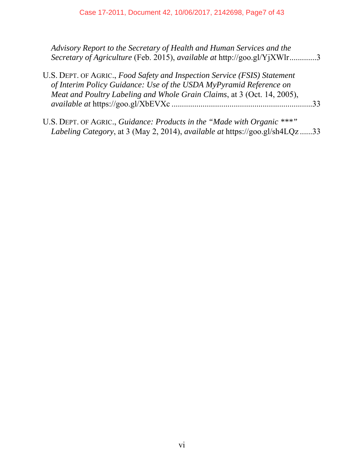| Advisory Report to the Secretary of Health and Human Services and the<br>Secretary of Agriculture (Feb. 2015), available at http://goo.gl/YjXWlr3                                                                          |  |
|----------------------------------------------------------------------------------------------------------------------------------------------------------------------------------------------------------------------------|--|
| U.S. DEPT. OF AGRIC., Food Safety and Inspection Service (FSIS) Statement<br>of Interim Policy Guidance: Use of the USDA MyPyramid Reference on<br>Meat and Poultry Labeling and Whole Grain Claims, at 3 (Oct. 14, 2005), |  |
| U.S. DEPT. OF AGRIC., Guidance: Products in the "Made with Organic ***"                                                                                                                                                    |  |

*Labeling Category*, at 3 (May 2, 2014), *available at* https://goo.gl/sh4LQz ...... 33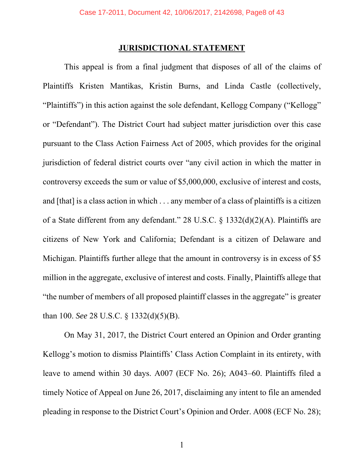#### **JURISDICTIONAL STATEMENT**

 This appeal is from a final judgment that disposes of all of the claims of Plaintiffs Kristen Mantikas, Kristin Burns, and Linda Castle (collectively, "Plaintiffs") in this action against the sole defendant, Kellogg Company ("Kellogg" or "Defendant"). The District Court had subject matter jurisdiction over this case pursuant to the Class Action Fairness Act of 2005, which provides for the original jurisdiction of federal district courts over "any civil action in which the matter in controversy exceeds the sum or value of \$5,000,000, exclusive of interest and costs, and [that] is a class action in which . . . any member of a class of plaintiffs is a citizen of a State different from any defendant." 28 U.S.C. § 1332(d)(2)(A). Plaintiffs are citizens of New York and California; Defendant is a citizen of Delaware and Michigan. Plaintiffs further allege that the amount in controversy is in excess of \$5 million in the aggregate, exclusive of interest and costs. Finally, Plaintiffs allege that "the number of members of all proposed plaintiff classes in the aggregate" is greater than 100. *See* 28 U.S.C. § 1332(d)(5)(B).

On May 31, 2017, the District Court entered an Opinion and Order granting Kellogg's motion to dismiss Plaintiffs' Class Action Complaint in its entirety, with leave to amend within 30 days. A007 (ECF No. 26); A043–60. Plaintiffs filed a timely Notice of Appeal on June 26, 2017, disclaiming any intent to file an amended pleading in response to the District Court's Opinion and Order. A008 (ECF No. 28);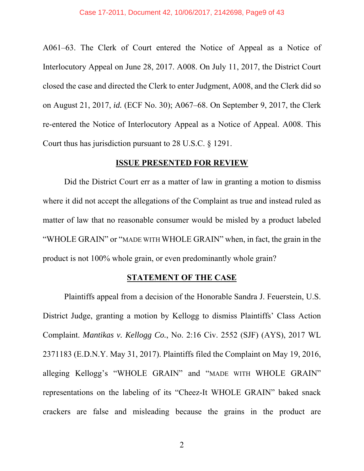A061–63. The Clerk of Court entered the Notice of Appeal as a Notice of Interlocutory Appeal on June 28, 2017. A008. On July 11, 2017, the District Court closed the case and directed the Clerk to enter Judgment, A008, and the Clerk did so on August 21, 2017, *id.* (ECF No. 30); A067–68. On September 9, 2017, the Clerk re-entered the Notice of Interlocutory Appeal as a Notice of Appeal. A008. This Court thus has jurisdiction pursuant to 28 U.S.C. § 1291.

#### **ISSUE PRESENTED FOR REVIEW**

 Did the District Court err as a matter of law in granting a motion to dismiss where it did not accept the allegations of the Complaint as true and instead ruled as matter of law that no reasonable consumer would be misled by a product labeled "WHOLE GRAIN" or "MADE WITH WHOLE GRAIN" when, in fact, the grain in the product is not 100% whole grain, or even predominantly whole grain?

#### **STATEMENT OF THE CASE**

Plaintiffs appeal from a decision of the Honorable Sandra J. Feuerstein, U.S. District Judge, granting a motion by Kellogg to dismiss Plaintiffs' Class Action Complaint. *Mantikas v. Kellogg Co.*, No. 2:16 Civ. 2552 (SJF) (AYS), 2017 WL 2371183 (E.D.N.Y. May 31, 2017). Plaintiffs filed the Complaint on May 19, 2016, alleging Kellogg's "WHOLE GRAIN" and "MADE WITH WHOLE GRAIN" representations on the labeling of its "Cheez-It WHOLE GRAIN" baked snack crackers are false and misleading because the grains in the product are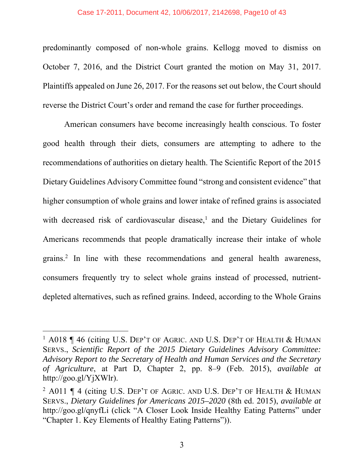#### Case 17-2011, Document 42, 10/06/2017, 2142698, Page10 of 43

predominantly composed of non-whole grains. Kellogg moved to dismiss on October 7, 2016, and the District Court granted the motion on May 31, 2017. Plaintiffs appealed on June 26, 2017. For the reasons set out below, the Court should reverse the District Court's order and remand the case for further proceedings.

American consumers have become increasingly health conscious. To foster good health through their diets, consumers are attempting to adhere to the recommendations of authorities on dietary health. The Scientific Report of the 2015 Dietary Guidelines Advisory Committee found "strong and consistent evidence" that higher consumption of whole grains and lower intake of refined grains is associated with decreased risk of cardiovascular disease,<sup>1</sup> and the Dietary Guidelines for Americans recommends that people dramatically increase their intake of whole grains.<sup>2</sup> In line with these recommendations and general health awareness, consumers frequently try to select whole grains instead of processed, nutrientdepleted alternatives, such as refined grains. Indeed, according to the Whole Grains

 $\overline{a}$ 

<sup>&</sup>lt;sup>1</sup> A018 | 46 (citing U.S. DEP'T OF AGRIC. AND U.S. DEP'T OF HEALTH & HUMAN SERVS., *Scientific Report of the 2015 Dietary Guidelines Advisory Committee: Advisory Report to the Secretary of Health and Human Services and the Secretary of Agriculture*, at Part D, Chapter 2, pp. 8–9 (Feb. 2015), *available at*  http://goo.gl/YjXWlr).

<sup>&</sup>lt;sup>2</sup> A011  $\P$  4 (citing U.S. Dep't of Agric. and U.S. Dep't of Health & HUMAN SERVS., *Dietary Guidelines for Americans 2015–2020* (8th ed. 2015), *available at*  http://goo.gl/qnyfLi (click "A Closer Look Inside Healthy Eating Patterns" under "Chapter 1. Key Elements of Healthy Eating Patterns")).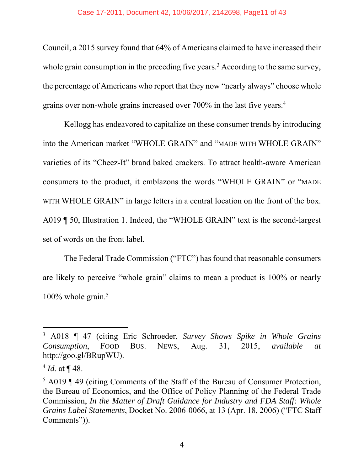Council, a 2015 survey found that 64% of Americans claimed to have increased their whole grain consumption in the preceding five years.<sup>3</sup> According to the same survey, the percentage of Americans who report that they now "nearly always" choose whole grains over non-whole grains increased over 700% in the last five years.4

Kellogg has endeavored to capitalize on these consumer trends by introducing into the American market "WHOLE GRAIN" and "MADE WITH WHOLE GRAIN" varieties of its "Cheez-It" brand baked crackers. To attract health-aware American consumers to the product, it emblazons the words "WHOLE GRAIN" or "MADE WITH WHOLE GRAIN" in large letters in a central location on the front of the box. A019 ¶ 50, Illustration 1. Indeed, the "WHOLE GRAIN" text is the second-largest set of words on the front label.

The Federal Trade Commission ("FTC") has found that reasonable consumers are likely to perceive "whole grain" claims to mean a product is 100% or nearly  $100\%$  whole grain.<sup>5</sup>

-

<sup>3</sup> A018 ¶ 47 (citing Eric Schroeder, *Survey Shows Spike in Whole Grains Consumption*, FOOD BUS. NEWS, Aug. 31, 2015, *available at* http://goo.gl/BRupWU).

 $4$  *Id.* at  $\P$  48.

 $5$  A019 ¶ 49 (citing Comments of the Staff of the Bureau of Consumer Protection, the Bureau of Economics, and the Office of Policy Planning of the Federal Trade Commission, *In the Matter of Draft Guidance for Industry and FDA Staff: Whole Grains Label Statements*, Docket No. 2006-0066, at 13 (Apr. 18, 2006) ("FTC Staff Comments")).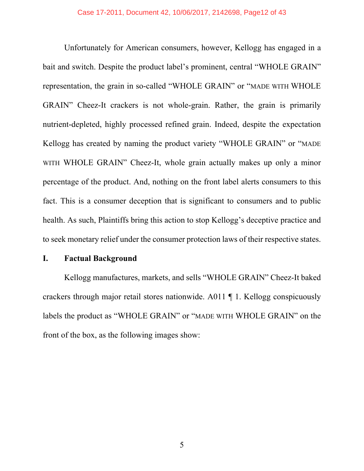Unfortunately for American consumers, however, Kellogg has engaged in a bait and switch. Despite the product label's prominent, central "WHOLE GRAIN" representation, the grain in so-called "WHOLE GRAIN" or "MADE WITH WHOLE GRAIN" Cheez-It crackers is not whole-grain. Rather, the grain is primarily nutrient-depleted, highly processed refined grain. Indeed, despite the expectation Kellogg has created by naming the product variety "WHOLE GRAIN" or "MADE WITH WHOLE GRAIN" Cheez-It, whole grain actually makes up only a minor percentage of the product. And, nothing on the front label alerts consumers to this fact. This is a consumer deception that is significant to consumers and to public health. As such, Plaintiffs bring this action to stop Kellogg's deceptive practice and to seek monetary relief under the consumer protection laws of their respective states.

#### **I. Factual Background**

Kellogg manufactures, markets, and sells "WHOLE GRAIN" Cheez-It baked crackers through major retail stores nationwide. A011 ¶ 1. Kellogg conspicuously labels the product as "WHOLE GRAIN" or "MADE WITH WHOLE GRAIN" on the front of the box, as the following images show: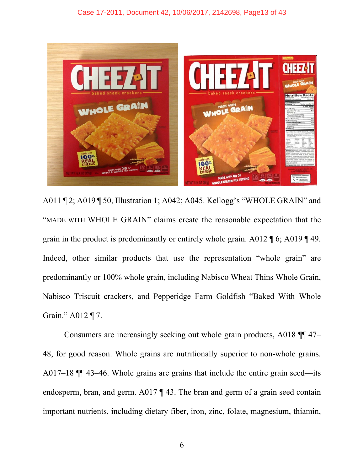

A011 ¶ 2; A019 ¶ 50, Illustration 1; A042; A045. Kellogg's "WHOLE GRAIN" and "MADE WITH WHOLE GRAIN" claims create the reasonable expectation that the grain in the product is predominantly or entirely whole grain. A012 ¶ 6; A019 ¶ 49. Indeed, other similar products that use the representation "whole grain" are predominantly or 100% whole grain, including Nabisco Wheat Thins Whole Grain, Nabisco Triscuit crackers, and Pepperidge Farm Goldfish "Baked With Whole Grain." A012 ¶ 7.

 Consumers are increasingly seeking out whole grain products, A018 ¶¶ 47– 48, for good reason. Whole grains are nutritionally superior to non-whole grains. A017–18 ¶¶ 43–46. Whole grains are grains that include the entire grain seed—its endosperm, bran, and germ. A017 ¶ 43. The bran and germ of a grain seed contain important nutrients, including dietary fiber, iron, zinc, folate, magnesium, thiamin,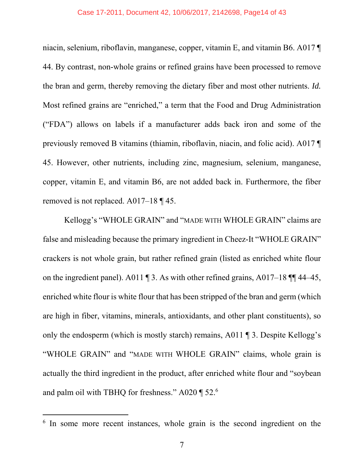#### Case 17-2011, Document 42, 10/06/2017, 2142698, Page14 of 43

niacin, selenium, riboflavin, manganese, copper, vitamin E, and vitamin B6. A017 ¶ 44. By contrast, non-whole grains or refined grains have been processed to remove the bran and germ, thereby removing the dietary fiber and most other nutrients. *Id.* Most refined grains are "enriched," a term that the Food and Drug Administration ("FDA") allows on labels if a manufacturer adds back iron and some of the previously removed B vitamins (thiamin, riboflavin, niacin, and folic acid). A017 ¶ 45. However, other nutrients, including zinc, magnesium, selenium, manganese, copper, vitamin E, and vitamin B6, are not added back in. Furthermore, the fiber removed is not replaced. A017–18 ¶ 45.

 Kellogg's "WHOLE GRAIN" and "MADE WITH WHOLE GRAIN" claims are false and misleading because the primary ingredient in Cheez-It "WHOLE GRAIN" crackers is not whole grain, but rather refined grain (listed as enriched white flour on the ingredient panel). A011  $\P$  3. As with other refined grains, A017–18  $\P$  $\P$  44–45, enriched white flour is white flour that has been stripped of the bran and germ (which are high in fiber, vitamins, minerals, antioxidants, and other plant constituents), so only the endosperm (which is mostly starch) remains, A011 ¶ 3. Despite Kellogg's "WHOLE GRAIN" and "MADE WITH WHOLE GRAIN" claims, whole grain is actually the third ingredient in the product, after enriched white flour and "soybean and palm oil with TBHQ for freshness." A020 ¶ 52.6

 $\overline{a}$ 

<sup>&</sup>lt;sup>6</sup> In some more recent instances, whole grain is the second ingredient on the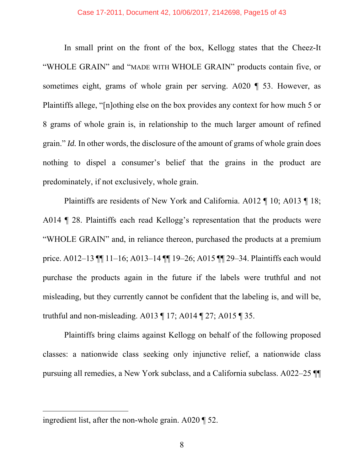In small print on the front of the box, Kellogg states that the Cheez-It "WHOLE GRAIN" and "MADE WITH WHOLE GRAIN" products contain five, or sometimes eight, grams of whole grain per serving. A020 ¶ 53. However, as Plaintiffs allege, "[n]othing else on the box provides any context for how much 5 or 8 grams of whole grain is, in relationship to the much larger amount of refined grain." *Id.* In other words, the disclosure of the amount of grams of whole grain does nothing to dispel a consumer's belief that the grains in the product are predominately, if not exclusively, whole grain.

 Plaintiffs are residents of New York and California. A012 ¶ 10; A013 ¶ 18; A014 ¶ 28. Plaintiffs each read Kellogg's representation that the products were "WHOLE GRAIN" and, in reliance thereon, purchased the products at a premium price. A012–13 ¶¶ 11–16; A013–14 ¶¶ 19–26; A015 ¶¶ 29–34. Plaintiffs each would purchase the products again in the future if the labels were truthful and not misleading, but they currently cannot be confident that the labeling is, and will be, truthful and non-misleading. A013 ¶ 17; A014 ¶ 27; A015 ¶ 35.

Plaintiffs bring claims against Kellogg on behalf of the following proposed classes: a nationwide class seeking only injunctive relief, a nationwide class pursuing all remedies, a New York subclass, and a California subclass. A022–25 ¶¶

-

ingredient list, after the non-whole grain. A020 ¶ 52.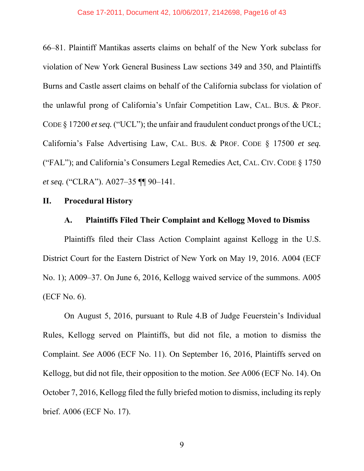66–81. Plaintiff Mantikas asserts claims on behalf of the New York subclass for violation of New York General Business Law sections 349 and 350, and Plaintiffs Burns and Castle assert claims on behalf of the California subclass for violation of the unlawful prong of California's Unfair Competition Law, CAL. BUS. & PROF. CODE § 17200 *et seq.* ("UCL"); the unfair and fraudulent conduct prongs of the UCL; California's False Advertising Law, CAL. BUS. & PROF. CODE § 17500 *et seq.* ("FAL"); and California's Consumers Legal Remedies Act, CAL. CIV. CODE § 1750 *et seq.* ("CLRA"). A027–35  $\P$  90–141.

## **II. Procedural History**

## **A. Plaintiffs Filed Their Complaint and Kellogg Moved to Dismiss**

Plaintiffs filed their Class Action Complaint against Kellogg in the U.S. District Court for the Eastern District of New York on May 19, 2016. A004 (ECF No. 1); A009–37. On June 6, 2016, Kellogg waived service of the summons. A005 (ECF No. 6).

 On August 5, 2016, pursuant to Rule 4.B of Judge Feuerstein's Individual Rules, Kellogg served on Plaintiffs, but did not file, a motion to dismiss the Complaint. *See* A006 (ECF No. 11). On September 16, 2016, Plaintiffs served on Kellogg, but did not file, their opposition to the motion. *See* A006 (ECF No. 14). On October 7, 2016, Kellogg filed the fully briefed motion to dismiss, including its reply brief. A006 (ECF No. 17).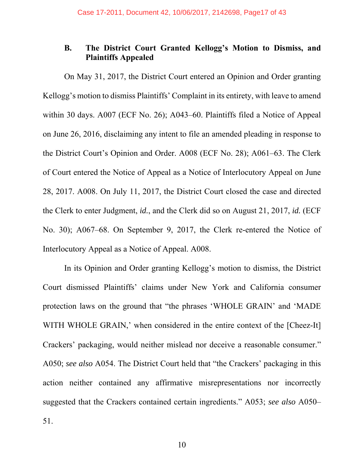# **B. The District Court Granted Kellogg's Motion to Dismiss, and Plaintiffs Appealed**

On May 31, 2017, the District Court entered an Opinion and Order granting Kellogg's motion to dismiss Plaintiffs' Complaint in its entirety, with leave to amend within 30 days. A007 (ECF No. 26); A043–60. Plaintiffs filed a Notice of Appeal on June 26, 2016, disclaiming any intent to file an amended pleading in response to the District Court's Opinion and Order. A008 (ECF No. 28); A061–63. The Clerk of Court entered the Notice of Appeal as a Notice of Interlocutory Appeal on June 28, 2017. A008. On July 11, 2017, the District Court closed the case and directed the Clerk to enter Judgment, *id.*, and the Clerk did so on August 21, 2017, *id.* (ECF No. 30); A067–68. On September 9, 2017, the Clerk re-entered the Notice of Interlocutory Appeal as a Notice of Appeal. A008.

 In its Opinion and Order granting Kellogg's motion to dismiss, the District Court dismissed Plaintiffs' claims under New York and California consumer protection laws on the ground that "the phrases 'WHOLE GRAIN' and 'MADE WITH WHOLE GRAIN,' when considered in the entire context of the [Cheez-It] Crackers' packaging, would neither mislead nor deceive a reasonable consumer." A050; *see also* A054. The District Court held that "the Crackers' packaging in this action neither contained any affirmative misrepresentations nor incorrectly suggested that the Crackers contained certain ingredients." A053; *see also* A050– 51.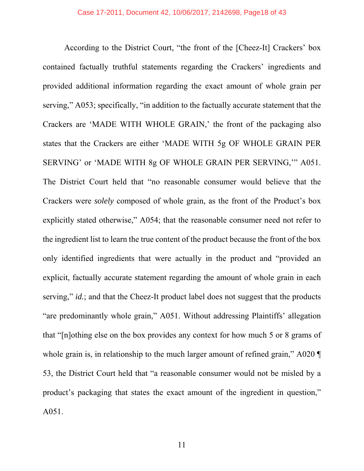According to the District Court, "the front of the [Cheez-It] Crackers' box contained factually truthful statements regarding the Crackers' ingredients and provided additional information regarding the exact amount of whole grain per serving," A053; specifically, "in addition to the factually accurate statement that the Crackers are 'MADE WITH WHOLE GRAIN,' the front of the packaging also states that the Crackers are either 'MADE WITH 5g OF WHOLE GRAIN PER SERVING' or 'MADE WITH 8g OF WHOLE GRAIN PER SERVING,'" A051. The District Court held that "no reasonable consumer would believe that the Crackers were *solely* composed of whole grain, as the front of the Product's box explicitly stated otherwise," A054; that the reasonable consumer need not refer to the ingredient list to learn the true content of the product because the front of the box only identified ingredients that were actually in the product and "provided an explicit, factually accurate statement regarding the amount of whole grain in each serving," *id.*; and that the Cheez-It product label does not suggest that the products "are predominantly whole grain," A051. Without addressing Plaintiffs' allegation that "[n]othing else on the box provides any context for how much 5 or 8 grams of whole grain is, in relationship to the much larger amount of refined grain," A020  $\P$ 53, the District Court held that "a reasonable consumer would not be misled by a product's packaging that states the exact amount of the ingredient in question," A051.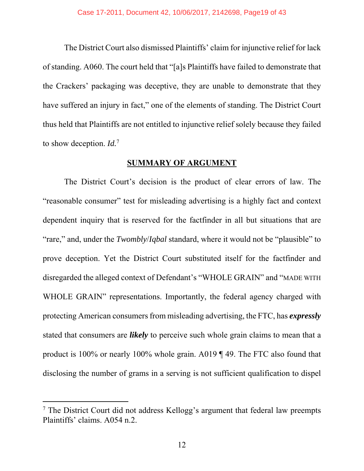The District Court also dismissed Plaintiffs' claim for injunctive relief for lack of standing. A060. The court held that "[a]s Plaintiffs have failed to demonstrate that the Crackers' packaging was deceptive, they are unable to demonstrate that they have suffered an injury in fact," one of the elements of standing. The District Court thus held that Plaintiffs are not entitled to injunctive relief solely because they failed to show deception. *Id.*<sup>7</sup>

#### **SUMMARY OF ARGUMENT**

 The District Court's decision is the product of clear errors of law. The "reasonable consumer" test for misleading advertising is a highly fact and context dependent inquiry that is reserved for the factfinder in all but situations that are "rare," and, under the *Twombly*/*Iqbal* standard, where it would not be "plausible" to prove deception. Yet the District Court substituted itself for the factfinder and disregarded the alleged context of Defendant's "WHOLE GRAIN" and "MADE WITH WHOLE GRAIN" representations. Importantly, the federal agency charged with protecting American consumers from misleading advertising, the FTC, has *expressly* stated that consumers are *likely* to perceive such whole grain claims to mean that a product is 100% or nearly 100% whole grain. A019 ¶ 49. The FTC also found that disclosing the number of grams in a serving is not sufficient qualification to dispel

 $\overline{a}$ 

<sup>&</sup>lt;sup>7</sup> The District Court did not address Kellogg's argument that federal law preempts Plaintiffs' claims. A054 n.2.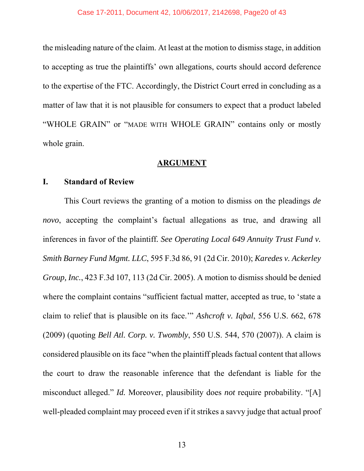the misleading nature of the claim. At least at the motion to dismiss stage, in addition to accepting as true the plaintiffs' own allegations, courts should accord deference to the expertise of the FTC. Accordingly, the District Court erred in concluding as a matter of law that it is not plausible for consumers to expect that a product labeled "WHOLE GRAIN" or "MADE WITH WHOLE GRAIN" contains only or mostly whole grain.

#### **ARGUMENT**

#### **I. Standard of Review**

This Court reviews the granting of a motion to dismiss on the pleadings *de novo*, accepting the complaint's factual allegations as true, and drawing all inferences in favor of the plaintiff*. See Operating Local 649 Annuity Trust Fund v. Smith Barney Fund Mgmt. LLC*, 595 F.3d 86, 91 (2d Cir. 2010); *Karedes v. Ackerley Group, Inc.*, 423 F.3d 107, 113 (2d Cir. 2005). A motion to dismiss should be denied where the complaint contains "sufficient factual matter, accepted as true, to 'state a claim to relief that is plausible on its face.'" *Ashcroft v. Iqbal*, 556 U.S. 662, 678 (2009) (quoting *Bell Atl. Corp. v. Twombly*, 550 U.S. 544, 570 (2007)). A claim is considered plausible on its face "when the plaintiff pleads factual content that allows the court to draw the reasonable inference that the defendant is liable for the misconduct alleged." *Id.* Moreover, plausibility does *not* require probability. "[A] well-pleaded complaint may proceed even if it strikes a savvy judge that actual proof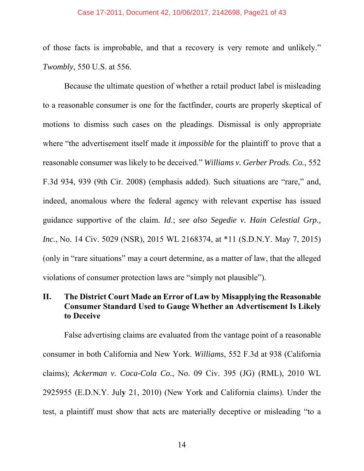#### Case 17-2011, Document 42, 10/06/2017, 2142698, Page21 of 43

of those facts is improbable, and that a recovery is very remote and unlikely." *Twombly*, 550 U.S. at 556.

 Because the ultimate question of whether a retail product label is misleading to a reasonable consumer is one for the factfinder, courts are properly skeptical of motions to dismiss such cases on the pleadings. Dismissal is only appropriate where "the advertisement itself made it *impossible* for the plaintiff to prove that a reasonable consumer was likely to be deceived." *Williams v. Gerber Prods. Co.*, 552 F.3d 934, 939 (9th Cir. 2008) (emphasis added). Such situations are "rare," and, indeed, anomalous where the federal agency with relevant expertise has issued guidance supportive of the claim. *Id*.; *see also Segedie v. Hain Celestial Grp., Inc.*, No. 14 Civ. 5029 (NSR), 2015 WL 2168374, at \*11 (S.D.N.Y. May 7, 2015) (only in "rare situations" may a court determine, as a matter of law, that the alleged violations of consumer protection laws are "simply not plausible").

# **II. The District Court Made an Error of Law by Misapplying the Reasonable Consumer Standard Used to Gauge Whether an Advertisement Is Likely to Deceive**

 False advertising claims are evaluated from the vantage point of a reasonable consumer in both California and New York. *Williams*, 552 F.3d at 938 (California claims); *Ackerman v. Coca-Cola Co.*, No. 09 Civ. 395 (JG) (RML), 2010 WL 2925955 (E.D.N.Y. Jul**y** 21, 2010) (New York and California claims). Under the test, a plaintiff must show that acts are materially deceptive or misleading "to a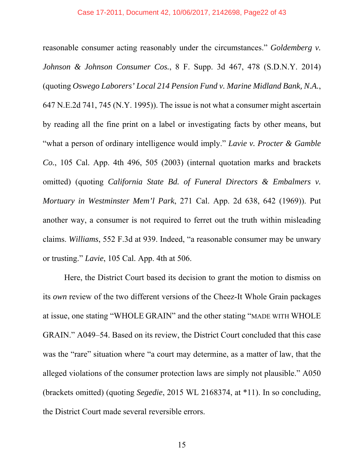reasonable consumer acting reasonably under the circumstances." *Goldemberg v. Johnson & Johnson Consumer Cos.*, 8 F. Supp. 3d 467, 478 (S.D.N.Y. 2014) (quoting *Oswego Laborers' Local 214 Pension Fund v. Marine Midland Bank, N.A.*, 647 N.E.2d 741, 745 (N.Y. 1995)). The issue is not what a consumer might ascertain by reading all the fine print on a label or investigating facts by other means, but "what a person of ordinary intelligence would imply." *Lavie v. Procter & Gamble Co.*, 105 Cal. App. 4th 496, 505 (2003) (internal quotation marks and brackets omitted) (quoting *California State Bd. of Funeral Directors & Embalmers v. Mortuary in Westminster Mem'l Park*, 271 Cal. App. 2d 638, 642 (1969)). Put another way, a consumer is not required to ferret out the truth within misleading claims. *Williams*, 552 F.3d at 939. Indeed, "a reasonable consumer may be unwary or trusting." *Lavie*, 105 Cal. App. 4th at 506.

 Here, the District Court based its decision to grant the motion to dismiss on its *own* review of the two different versions of the Cheez-It Whole Grain packages at issue, one stating "WHOLE GRAIN" and the other stating "MADE WITH WHOLE GRAIN." A049–54. Based on its review, the District Court concluded that this case was the "rare" situation where "a court may determine, as a matter of law, that the alleged violations of the consumer protection laws are simply not plausible." A050 (brackets omitted) (quoting *Segedie*, 2015 WL 2168374, at \*11). In so concluding, the District Court made several reversible errors.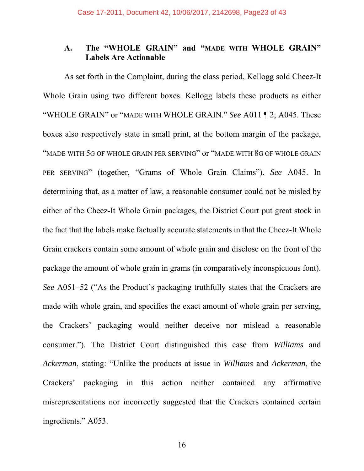# **A. The "WHOLE GRAIN" and "MADE WITH WHOLE GRAIN" Labels Are Actionable**

As set forth in the Complaint, during the class period, Kellogg sold Cheez-It Whole Grain using two different boxes. Kellogg labels these products as either "WHOLE GRAIN" or "MADE WITH WHOLE GRAIN." *See* A011 ¶ 2; A045. These boxes also respectively state in small print, at the bottom margin of the package, "MADE WITH 5G OF WHOLE GRAIN PER SERVING" or "MADE WITH 8G OF WHOLE GRAIN PER SERVING" (together, "Grams of Whole Grain Claims"). *See* A045. In determining that, as a matter of law, a reasonable consumer could not be misled by either of the Cheez-It Whole Grain packages, the District Court put great stock in the fact that the labels make factually accurate statements in that the Cheez-It Whole Grain crackers contain some amount of whole grain and disclose on the front of the package the amount of whole grain in grams (in comparatively inconspicuous font). *See* A051–52 ("As the Product's packaging truthfully states that the Crackers are made with whole grain, and specifies the exact amount of whole grain per serving, the Crackers' packaging would neither deceive nor mislead a reasonable consumer."). The District Court distinguished this case from *Williams* and *Ackerman*, stating: "Unlike the products at issue in *Williams* and *Ackerman*, the Crackers' packaging in this action neither contained any affirmative misrepresentations nor incorrectly suggested that the Crackers contained certain ingredients." A053.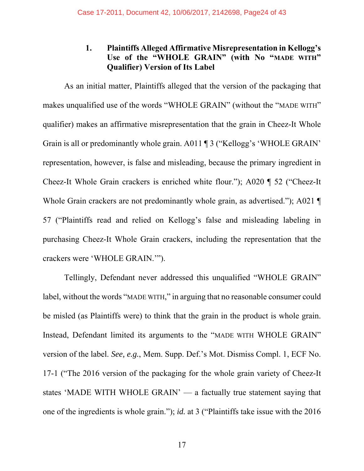# **1. Plaintiffs Alleged Affirmative Misrepresentation in Kellogg's Use of the "WHOLE GRAIN" (with No "MADE WITH" Qualifier) Version of Its Label**

As an initial matter, Plaintiffs alleged that the version of the packaging that makes unqualified use of the words "WHOLE GRAIN" (without the "MADE WITH" qualifier) makes an affirmative misrepresentation that the grain in Cheez-It Whole Grain is all or predominantly whole grain. A011 ¶ 3 ("Kellogg's 'WHOLE GRAIN' representation, however, is false and misleading, because the primary ingredient in Cheez-It Whole Grain crackers is enriched white flour."); A020 ¶ 52 ("Cheez-It Whole Grain crackers are not predominantly whole grain, as advertised."); A021 57 ("Plaintiffs read and relied on Kellogg's false and misleading labeling in purchasing Cheez-It Whole Grain crackers, including the representation that the crackers were 'WHOLE GRAIN.'").

Tellingly, Defendant never addressed this unqualified "WHOLE GRAIN" label, without the words "MADE WITH," in arguing that no reasonable consumer could be misled (as Plaintiffs were) to think that the grain in the product is whole grain. Instead, Defendant limited its arguments to the "MADE WITH WHOLE GRAIN" version of the label. *See, e.g.*, Mem. Supp. Def.'s Mot. Dismiss Compl. 1, ECF No. 17-1 ("The 2016 version of the packaging for the whole grain variety of Cheez-It states 'MADE WITH WHOLE GRAIN' — a factually true statement saying that one of the ingredients is whole grain."); *id.* at 3 ("Plaintiffs take issue with the 2016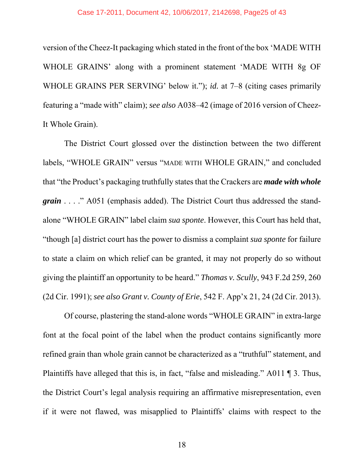#### Case 17-2011, Document 42, 10/06/2017, 2142698, Page25 of 43

version of the Cheez-It packaging which stated in the front of the box 'MADE WITH WHOLE GRAINS' along with a prominent statement 'MADE WITH 8g OF WHOLE GRAINS PER SERVING' below it."); *id.* at 7–8 (citing cases primarily featuring a "made with" claim); *see also* A038–42 (image of 2016 version of Cheez-It Whole Grain).

The District Court glossed over the distinction between the two different labels, "WHOLE GRAIN" versus "MADE WITH WHOLE GRAIN," and concluded that "the Product's packaging truthfully states that the Crackers are *made with whole grain* . . . ." A051 (emphasis added). The District Court thus addressed the standalone "WHOLE GRAIN" label claim *sua sponte*. However, this Court has held that, "though [a] district court has the power to dismiss a complaint *sua sponte* for failure to state a claim on which relief can be granted, it may not properly do so without giving the plaintiff an opportunity to be heard." *Thomas v. Scully*, 943 F.2d 259, 260 (2d Cir. 1991); *see also Grant v. County of Erie*, 542 F. App'x 21, 24 (2d Cir. 2013).

Of course, plastering the stand-alone words "WHOLE GRAIN" in extra-large font at the focal point of the label when the product contains significantly more refined grain than whole grain cannot be characterized as a "truthful" statement, and Plaintiffs have alleged that this is, in fact, "false and misleading." A011 ¶ 3. Thus, the District Court's legal analysis requiring an affirmative misrepresentation, even if it were not flawed, was misapplied to Plaintiffs' claims with respect to the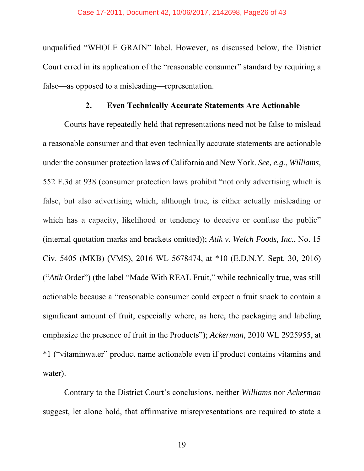unqualified "WHOLE GRAIN" label. However, as discussed below, the District Court erred in its application of the "reasonable consumer" standard by requiring a false—as opposed to a misleading—representation.

## **2. Even Technically Accurate Statements Are Actionable**

Courts have repeatedly held that representations need not be false to mislead a reasonable consumer and that even technically accurate statements are actionable under the consumer protection laws of California and New York. *See, e.g.*, *Williams*, 552 F.3d at 938 (consumer protection laws prohibit "not only advertising which is false, but also advertising which, although true, is either actually misleading or which has a capacity, likelihood or tendency to deceive or confuse the public" (internal quotation marks and brackets omitted)); *Atik v. Welch Foods, Inc.*, No. 15 Civ. 5405 (MKB) (VMS), 2016 WL 5678474, at \*10 (E.D.N.Y. Sept. 30, 2016) ("*Atik* Order") (the label "Made With REAL Fruit," while technically true, was still actionable because a "reasonable consumer could expect a fruit snack to contain a significant amount of fruit, especially where, as here, the packaging and labeling emphasize the presence of fruit in the Products"); *Ackerman*, 2010 WL 2925955, at \*1 ("vitaminwater" product name actionable even if product contains vitamins and water).

Contrary to the District Court's conclusions, neither *Williams* nor *Ackerman* suggest, let alone hold, that affirmative misrepresentations are required to state a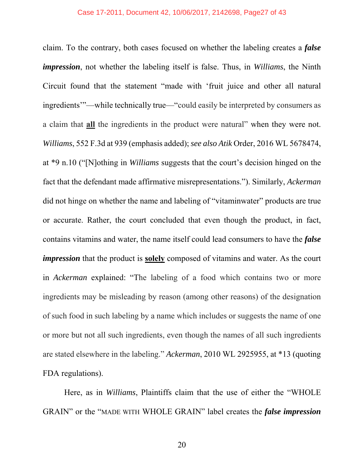claim. To the contrary, both cases focused on whether the labeling creates a *false impression*, not whether the labeling itself is false. Thus, in *Williams*, the Ninth Circuit found that the statement "made with 'fruit juice and other all natural ingredients'"—while technically true—"could easily be interpreted by consumers as a claim that **all** the ingredients in the product were natural" when they were not. *Williams*, 552 F.3d at 939 (emphasis added); *see also Atik* Order, 2016 WL 5678474, at \*9 n.10 ("[N]othing in *Williams* suggests that the court's decision hinged on the fact that the defendant made affirmative misrepresentations."). Similarly, *Ackerman* did not hinge on whether the name and labeling of "vitaminwater" products are true or accurate. Rather, the court concluded that even though the product, in fact, contains vitamins and water, the name itself could lead consumers to have the *false impression* that the product is **solely** composed of vitamins and water. As the court in *Ackerman* explained: "The labeling of a food which contains two or more ingredients may be misleading by reason (among other reasons) of the designation of such food in such labeling by a name which includes or suggests the name of one or more but not all such ingredients, even though the names of all such ingredients are stated elsewhere in the labeling." *Ackerman*, 2010 WL 2925955, at \*13 (quoting FDA regulations).

 Here, as in *Williams*, Plaintiffs claim that the use of either the "WHOLE GRAIN" or the "MADE WITH WHOLE GRAIN" label creates the *false impression*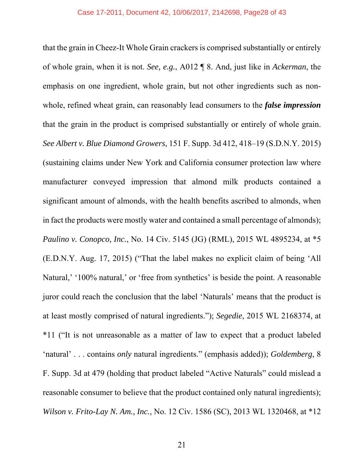that the grain in Cheez-It Whole Grain crackers is comprised substantially or entirely of whole grain, when it is not. *See, e.g.*, A012 ¶ 8. And, just like in *Ackerman*, the emphasis on one ingredient, whole grain, but not other ingredients such as nonwhole, refined wheat grain, can reasonably lead consumers to the *false impression* that the grain in the product is comprised substantially or entirely of whole grain. *See Albert v. Blue Diamond Growers*, 151 F. Supp. 3d 412, 418–19 (S.D.N.Y. 2015) (sustaining claims under New York and California consumer protection law where manufacturer conveyed impression that almond milk products contained a significant amount of almonds, with the health benefits ascribed to almonds, when in fact the products were mostly water and contained a small percentage of almonds); *Paulino v. Conopco, Inc.*, No. 14 Civ. 5145 (JG) (RML), 2015 WL 4895234, at \*5 (E.D.N.Y. Aug. 17, 2015) ("That the label makes no explicit claim of being 'All Natural,' '100% natural,' or 'free from synthetics' is beside the point. A reasonable juror could reach the conclusion that the label 'Naturals' means that the product is at least mostly comprised of natural ingredients."); *Segedie*, 2015 WL 2168374, at \*11 ("It is not unreasonable as a matter of law to expect that a product labeled 'natural' . . . contains *only* natural ingredients." (emphasis added)); *Goldemberg*, 8 F. Supp. 3d at 479 (holding that product labeled "Active Naturals" could mislead a reasonable consumer to believe that the product contained only natural ingredients); *Wilson v. Frito-Lay N. Am., Inc.*, No. 12 Civ. 1586 (SC), 2013 WL 1320468, at \*12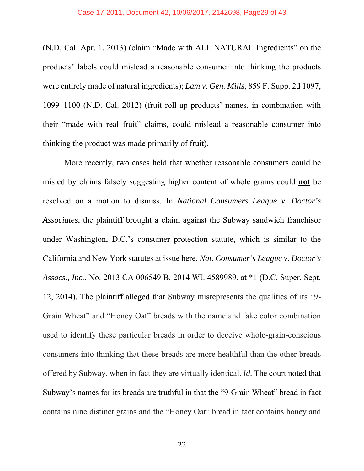#### Case 17-2011, Document 42, 10/06/2017, 2142698, Page29 of 43

(N.D. Cal. Apr. 1, 2013) (claim "Made with ALL NATURAL Ingredients" on the products' labels could mislead a reasonable consumer into thinking the products were entirely made of natural ingredients); *Lam v. Gen. Mills*, 859 F. Supp. 2d 1097, 1099–1100 (N.D. Cal. 2012) (fruit roll-up products' names, in combination with their "made with real fruit" claims, could mislead a reasonable consumer into thinking the product was made primarily of fruit).

 More recently, two cases held that whether reasonable consumers could be misled by claims falsely suggesting higher content of whole grains could **not** be resolved on a motion to dismiss. In *National Consumers League v. Doctor's Associates*, the plaintiff brought a claim against the Subway sandwich franchisor under Washington, D.C.'s consumer protection statute, which is similar to the California and New York statutes at issue here. *Nat. Consumer's League v. Doctor's Assocs., Inc.*, No. 2013 CA 006549 B, 2014 WL 4589989, at \*1 (D.C. Super. Sept. 12, 2014). The plaintiff alleged that Subway misrepresents the qualities of its "9- Grain Wheat" and "Honey Oat" breads with the name and fake color combination used to identify these particular breads in order to deceive whole-grain-conscious consumers into thinking that these breads are more healthful than the other breads offered by Subway, when in fact they are virtually identical. *Id.* The court noted that Subway's names for its breads are truthful in that the "9-Grain Wheat" bread in fact contains nine distinct grains and the "Honey Oat" bread in fact contains honey and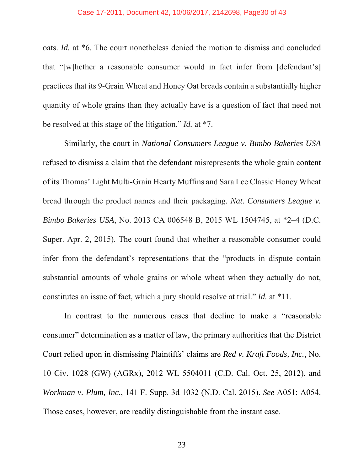oats. *Id.* at \*6. The court nonetheless denied the motion to dismiss and concluded that "[w]hether a reasonable consumer would in fact infer from [defendant's] practices that its 9-Grain Wheat and Honey Oat breads contain a substantially higher quantity of whole grains than they actually have is a question of fact that need not be resolved at this stage of the litigation." *Id.* at \*7.

 Similarly, the court in *National Consumers League v. Bimbo Bakeries USA* refused to dismiss a claim that the defendant misrepresents the whole grain content of its Thomas' Light Multi-Grain Hearty Muffins and Sara Lee Classic Honey Wheat bread through the product names and their packaging. *Nat. Consumers League v. Bimbo Bakeries USA*, No. 2013 CA 006548 B, 2015 WL 1504745, at \*2–4 (D.C. Super. Apr. 2, 2015). The court found that whether a reasonable consumer could infer from the defendant's representations that the "products in dispute contain substantial amounts of whole grains or whole wheat when they actually do not, constitutes an issue of fact, which a jury should resolve at trial." *Id.* at \*11.

 In contrast to the numerous cases that decline to make a "reasonable consumer" determination as a matter of law, the primary authorities that the District Court relied upon in dismissing Plaintiffs' claims are *Red v. Kraft Foods, Inc.*, No. 10 Civ. 1028 (GW) (AGRx), 2012 WL 5504011 (C.D. Cal. Oct. 25, 2012), and *Workman v. Plum, Inc.*, 141 F. Supp. 3d 1032 (N.D. Cal. 2015). *See* A051; A054. Those cases, however, are readily distinguishable from the instant case.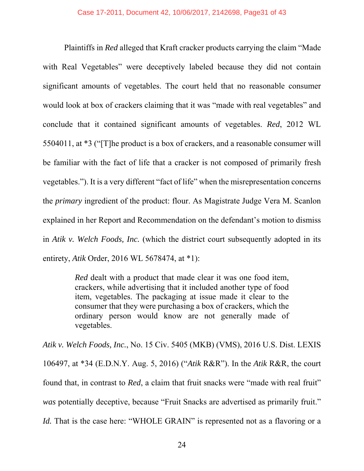Plaintiffs in *Red* alleged that Kraft cracker products carrying the claim "Made with Real Vegetables" were deceptively labeled because they did not contain significant amounts of vegetables. The court held that no reasonable consumer would look at box of crackers claiming that it was "made with real vegetables" and conclude that it contained significant amounts of vegetables. *Red*, 2012 WL 5504011, at \*3 ("[T]he product is a box of crackers, and a reasonable consumer will be familiar with the fact of life that a cracker is not composed of primarily fresh vegetables."). It is a very different "fact of life" when the misrepresentation concerns the *primary* ingredient of the product: flour. As Magistrate Judge Vera M. Scanlon explained in her Report and Recommendation on the defendant's motion to dismiss in *Atik v. Welch Foods, Inc.* (which the district court subsequently adopted in its entirety, *Atik* Order, 2016 WL 5678474, at \*1):

> *Red* dealt with a product that made clear it was one food item, crackers, while advertising that it included another type of food item, vegetables. The packaging at issue made it clear to the consumer that they were purchasing a box of crackers, which the ordinary person would know are not generally made of vegetables.

*Atik v. Welch Foods, Inc.*, No. 15 Civ. 5405 (MKB) (VMS), 2016 U.S. Dist. LEXIS 106497, at \*34 (E.D.N.Y. Aug. 5, 2016) ("*Atik* R&R"). In the *Atik* R&R, the court found that, in contrast to *Red*, a claim that fruit snacks were "made with real fruit" *was* potentially deceptive, because "Fruit Snacks are advertised as primarily fruit." *Id.* That is the case here: "WHOLE GRAIN" is represented not as a flavoring or a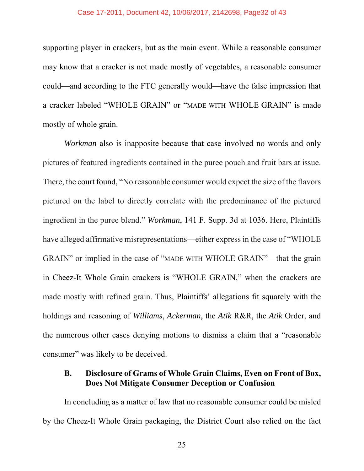#### Case 17-2011, Document 42, 10/06/2017, 2142698, Page32 of 43

supporting player in crackers, but as the main event. While a reasonable consumer may know that a cracker is not made mostly of vegetables, a reasonable consumer could—and according to the FTC generally would—have the false impression that a cracker labeled "WHOLE GRAIN" or "MADE WITH WHOLE GRAIN" is made mostly of whole grain.

*Workman* also is inapposite because that case involved no words and only pictures of featured ingredients contained in the puree pouch and fruit bars at issue. There, the court found, "No reasonable consumer would expect the size of the flavors pictured on the label to directly correlate with the predominance of the pictured ingredient in the puree blend." *Workman*, 141 F. Supp. 3d at 1036. Here, Plaintiffs have alleged affirmative misrepresentations—either express in the case of "WHOLE GRAIN" or implied in the case of "MADE WITH WHOLE GRAIN"—that the grain in Cheez-It Whole Grain crackers is "WHOLE GRAIN," when the crackers are made mostly with refined grain. Thus, Plaintiffs' allegations fit squarely with the holdings and reasoning of *Williams*, *Ackerman*, the *Atik* R&R, the *Atik* Order, and the numerous other cases denying motions to dismiss a claim that a "reasonable consumer" was likely to be deceived.

# **B. Disclosure of Grams of Whole Grain Claims, Even on Front of Box, Does Not Mitigate Consumer Deception or Confusion**

In concluding as a matter of law that no reasonable consumer could be misled by the Cheez-It Whole Grain packaging, the District Court also relied on the fact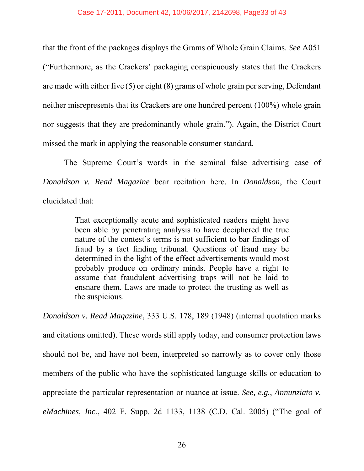that the front of the packages displays the Grams of Whole Grain Claims. *See* A051 ("Furthermore, as the Crackers' packaging conspicuously states that the Crackers are made with either five (5) or eight (8) grams of whole grain per serving, Defendant neither misrepresents that its Crackers are one hundred percent (100%) whole grain nor suggests that they are predominantly whole grain."). Again, the District Court missed the mark in applying the reasonable consumer standard.

The Supreme Court's words in the seminal false advertising case of *Donaldson v. Read Magazine* bear recitation here. In *Donaldson*, the Court elucidated that:

> That exceptionally acute and sophisticated readers might have been able by penetrating analysis to have deciphered the true nature of the contest's terms is not sufficient to bar findings of fraud by a fact finding tribunal. Questions of fraud may be determined in the light of the effect advertisements would most probably produce on ordinary minds. People have a right to assume that fraudulent advertising traps will not be laid to ensnare them. Laws are made to protect the trusting as well as the suspicious.

*Donaldson v. Read Magazine*, 333 U.S. 178, 189 (1948) (internal quotation marks and citations omitted). These words still apply today, and consumer protection laws should not be, and have not been, interpreted so narrowly as to cover only those members of the public who have the sophisticated language skills or education to appreciate the particular representation or nuance at issue. *See, e.g.*, *Annunziato v. eMachines, Inc.*, 402 F. Supp. 2d 1133, 1138 (C.D. Cal. 2005) ("The goal of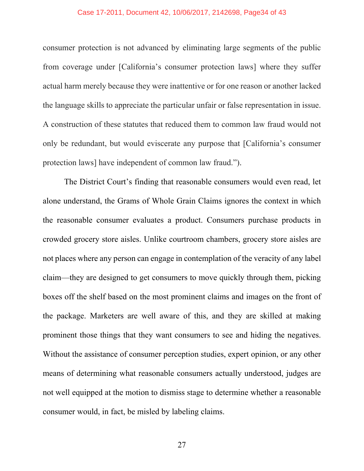#### Case 17-2011, Document 42, 10/06/2017, 2142698, Page34 of 43

consumer protection is not advanced by eliminating large segments of the public from coverage under [California's consumer protection laws] where they suffer actual harm merely because they were inattentive or for one reason or another lacked the language skills to appreciate the particular unfair or false representation in issue. A construction of these statutes that reduced them to common law fraud would not only be redundant, but would eviscerate any purpose that [California's consumer protection laws] have independent of common law fraud.").

 The District Court's finding that reasonable consumers would even read, let alone understand, the Grams of Whole Grain Claims ignores the context in which the reasonable consumer evaluates a product. Consumers purchase products in crowded grocery store aisles. Unlike courtroom chambers, grocery store aisles are not places where any person can engage in contemplation of the veracity of any label claim—they are designed to get consumers to move quickly through them, picking boxes off the shelf based on the most prominent claims and images on the front of the package. Marketers are well aware of this, and they are skilled at making prominent those things that they want consumers to see and hiding the negatives. Without the assistance of consumer perception studies, expert opinion, or any other means of determining what reasonable consumers actually understood, judges are not well equipped at the motion to dismiss stage to determine whether a reasonable consumer would, in fact, be misled by labeling claims.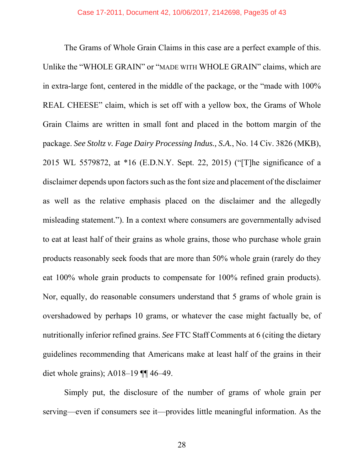The Grams of Whole Grain Claims in this case are a perfect example of this. Unlike the "WHOLE GRAIN" or "MADE WITH WHOLE GRAIN" claims, which are in extra-large font, centered in the middle of the package, or the "made with 100% REAL CHEESE" claim, which is set off with a yellow box, the Grams of Whole Grain Claims are written in small font and placed in the bottom margin of the package. *See Stoltz v. Fage Dairy Processing Indus., S.A.*, No. 14 Civ. 3826 (MKB), 2015 WL 5579872, at \*16 (E.D.N.Y. Sept. 22, 2015) ("[T]he significance of a disclaimer depends upon factors such as the font size and placement of the disclaimer as well as the relative emphasis placed on the disclaimer and the allegedly misleading statement."). In a context where consumers are governmentally advised to eat at least half of their grains as whole grains, those who purchase whole grain products reasonably seek foods that are more than 50% whole grain (rarely do they eat 100% whole grain products to compensate for 100% refined grain products). Nor, equally, do reasonable consumers understand that 5 grams of whole grain is overshadowed by perhaps 10 grams, or whatever the case might factually be, of nutritionally inferior refined grains. *See* FTC Staff Comments at 6 (citing the dietary guidelines recommending that Americans make at least half of the grains in their diet whole grains); A018–19 ¶¶ 46–49.

Simply put, the disclosure of the number of grams of whole grain per serving—even if consumers see it—provides little meaningful information. As the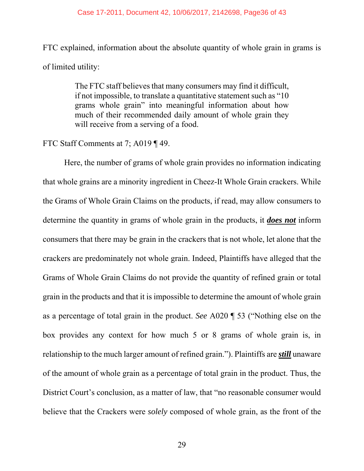#### Case 17-2011, Document 42, 10/06/2017, 2142698, Page36 of 43

FTC explained, information about the absolute quantity of whole grain in grams is of limited utility:

> The FTC staff believes that many consumers may find it difficult, if not impossible, to translate a quantitative statement such as "10 grams whole grain" into meaningful information about how much of their recommended daily amount of whole grain they will receive from a serving of a food.

#### FTC Staff Comments at 7; A019 ¶ 49.

 Here, the number of grams of whole grain provides no information indicating that whole grains are a minority ingredient in Cheez-It Whole Grain crackers. While the Grams of Whole Grain Claims on the products, if read, may allow consumers to determine the quantity in grams of whole grain in the products, it *does not* inform consumers that there may be grain in the crackers that is not whole, let alone that the crackers are predominately not whole grain. Indeed, Plaintiffs have alleged that the Grams of Whole Grain Claims do not provide the quantity of refined grain or total grain in the products and that it is impossible to determine the amount of whole grain as a percentage of total grain in the product. *See* A020 ¶ 53 ("Nothing else on the box provides any context for how much 5 or 8 grams of whole grain is, in relationship to the much larger amount of refined grain."). Plaintiffs are *still* unaware of the amount of whole grain as a percentage of total grain in the product. Thus, the District Court's conclusion, as a matter of law, that "no reasonable consumer would believe that the Crackers were *solely* composed of whole grain, as the front of the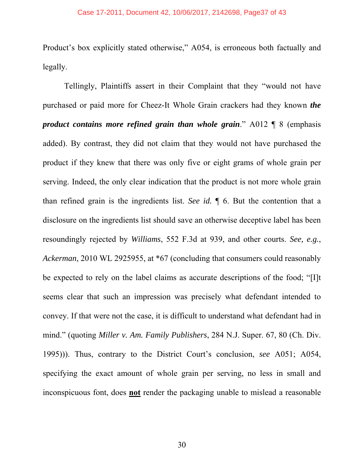Product's box explicitly stated otherwise," A054, is erroneous both factually and legally.

 Tellingly, Plaintiffs assert in their Complaint that they "would not have purchased or paid more for Cheez-It Whole Grain crackers had they known *the product contains more refined grain than whole grain*." A012 ¶ 8 (emphasis added). By contrast, they did not claim that they would not have purchased the product if they knew that there was only five or eight grams of whole grain per serving. Indeed, the only clear indication that the product is not more whole grain than refined grain is the ingredients list. *See id.* ¶ 6. But the contention that a disclosure on the ingredients list should save an otherwise deceptive label has been resoundingly rejected by *Williams*, 552 F.3d at 939, and other courts. *See, e.g.*, *Ackerman*, 2010 WL 2925955, at \*67 (concluding that consumers could reasonably be expected to rely on the label claims as accurate descriptions of the food; "[I]t seems clear that such an impression was precisely what defendant intended to convey. If that were not the case, it is difficult to understand what defendant had in mind." (quoting *Miller v. Am. Family Publishers*, 284 N.J. Super. 67, 80 (Ch. Div. 1995))). Thus, contrary to the District Court's conclusion, *see* A051; A054, specifying the exact amount of whole grain per serving, no less in small and inconspicuous font, does **not** render the packaging unable to mislead a reasonable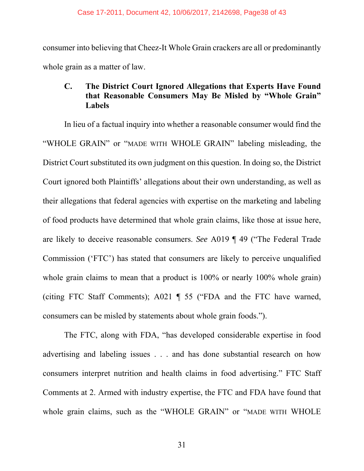consumer into believing that Cheez-It Whole Grain crackers are all or predominantly whole grain as a matter of law.

# **C. The District Court Ignored Allegations that Experts Have Found that Reasonable Consumers May Be Misled by "Whole Grain" Labels**

In lieu of a factual inquiry into whether a reasonable consumer would find the "WHOLE GRAIN" or "MADE WITH WHOLE GRAIN" labeling misleading, the District Court substituted its own judgment on this question. In doing so, the District Court ignored both Plaintiffs' allegations about their own understanding, as well as their allegations that federal agencies with expertise on the marketing and labeling of food products have determined that whole grain claims, like those at issue here, are likely to deceive reasonable consumers. *See* A019 ¶ 49 ("The Federal Trade Commission ('FTC') has stated that consumers are likely to perceive unqualified whole grain claims to mean that a product is 100% or nearly 100% whole grain) (citing FTC Staff Comments); A021 ¶ 55 ("FDA and the FTC have warned, consumers can be misled by statements about whole grain foods.").

 The FTC, along with FDA, "has developed considerable expertise in food advertising and labeling issues . . . and has done substantial research on how consumers interpret nutrition and health claims in food advertising." FTC Staff Comments at 2. Armed with industry expertise, the FTC and FDA have found that whole grain claims, such as the "WHOLE GRAIN" or "MADE WITH WHOLE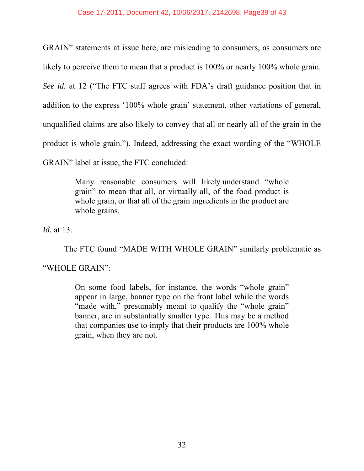GRAIN" statements at issue here, are misleading to consumers, as consumers are likely to perceive them to mean that a product is 100% or nearly 100% whole grain. *See id.* at 12 ("The FTC staff agrees with FDA's draft guidance position that in addition to the express '100% whole grain' statement, other variations of general, unqualified claims are also likely to convey that all or nearly all of the grain in the product is whole grain."). Indeed, addressing the exact wording of the "WHOLE GRAIN" label at issue, the FTC concluded:

> Many reasonable consumers will likely understand "whole grain" to mean that all, or virtually all, of the food product is whole grain, or that all of the grain ingredients in the product are whole grains.

*Id.* at 13.

 The FTC found "MADE WITH WHOLE GRAIN" similarly problematic as "WHOLE GRAIN":

> On some food labels, for instance, the words "whole grain" appear in large, banner type on the front label while the words "made with," presumably meant to qualify the "whole grain" banner, are in substantially smaller type. This may be a method that companies use to imply that their products are 100% whole grain, when they are not.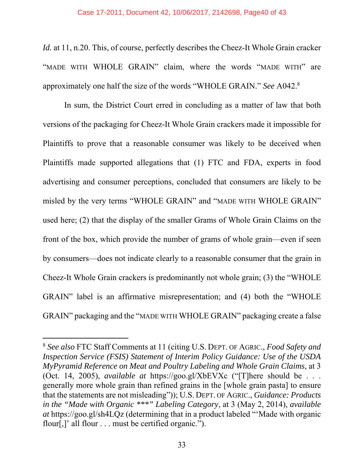*Id.* at 11, n.20. This, of course, perfectly describes the Cheez-It Whole Grain cracker "MADE WITH WHOLE GRAIN" claim, where the words "MADE WITH" are approximately one half the size of the words "WHOLE GRAIN." *See* A042.8

 In sum, the District Court erred in concluding as a matter of law that both versions of the packaging for Cheez-It Whole Grain crackers made it impossible for Plaintiffs to prove that a reasonable consumer was likely to be deceived when Plaintiffs made supported allegations that (1) FTC and FDA, experts in food advertising and consumer perceptions, concluded that consumers are likely to be misled by the very terms "WHOLE GRAIN" and "MADE WITH WHOLE GRAIN" used here; (2) that the display of the smaller Grams of Whole Grain Claims on the front of the box, which provide the number of grams of whole grain—even if seen by consumers—does not indicate clearly to a reasonable consumer that the grain in Cheez-It Whole Grain crackers is predominantly not whole grain; (3) the "WHOLE GRAIN" label is an affirmative misrepresentation; and (4) both the "WHOLE GRAIN" packaging and the "MADE WITH WHOLE GRAIN" packaging create a false

-

<sup>8</sup> *See also* FTC Staff Comments at 11 (citing U.S. DEPT. OF AGRIC., *Food Safety and Inspection Service (FSIS) Statement of Interim Policy Guidance: Use of the USDA MyPyramid Reference on Meat and Poultry Labeling and Whole Grain Claims*, at 3 (Oct. 14, 2005), *available at* https://goo.gl/XbEVXc ("[T]here should be . . . generally more whole grain than refined grains in the [whole grain pasta] to ensure that the statements are not misleading")); U.S. DEPT. OF AGRIC., *Guidance: Products in the "Made with Organic \*\*\*" Labeling Category*, at 3 (May 2, 2014), *available at* https://goo.gl/sh4LQz (determining that in a product labeled "'Made with organic flour[,]' all flour . . . must be certified organic.").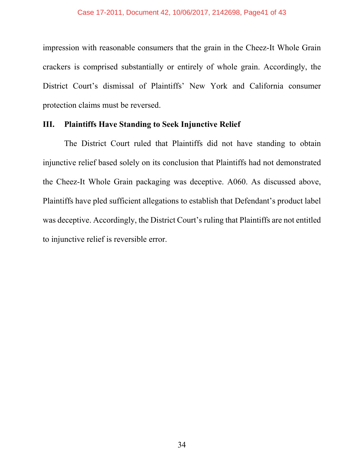impression with reasonable consumers that the grain in the Cheez-It Whole Grain crackers is comprised substantially or entirely of whole grain. Accordingly, the District Court's dismissal of Plaintiffs' New York and California consumer protection claims must be reversed.

## **III. Plaintiffs Have Standing to Seek Injunctive Relief**

 The District Court ruled that Plaintiffs did not have standing to obtain injunctive relief based solely on its conclusion that Plaintiffs had not demonstrated the Cheez-It Whole Grain packaging was deceptive. A060. As discussed above, Plaintiffs have pled sufficient allegations to establish that Defendant's product label was deceptive. Accordingly, the District Court's ruling that Plaintiffs are not entitled to injunctive relief is reversible error.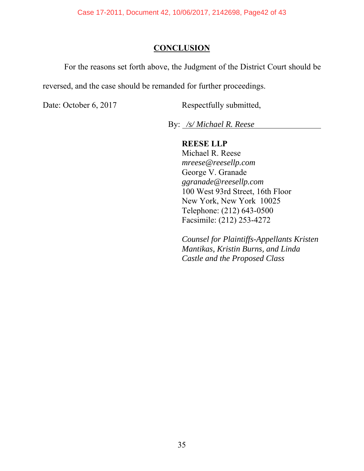# **CONCLUSION**

For the reasons set forth above, the Judgment of the District Court should be

reversed, and the case should be remanded for further proceedings.

Date: October 6, 2017 Respectfully submitted,

By: */s/ Michael R. Reese* 

**REESE LLP**  Michael R. Reese

*mreese@reesellp.com* George V. Granade *ggranade@reesellp.com* 100 West 93rd Street, 16th Floor New York, New York 10025 Telephone: (212) 643-0500 Facsimile: (212) 253-4272

*Counsel for Plaintiffs-Appellants Kristen Mantikas, Kristin Burns, and Linda Castle and the Proposed Class*